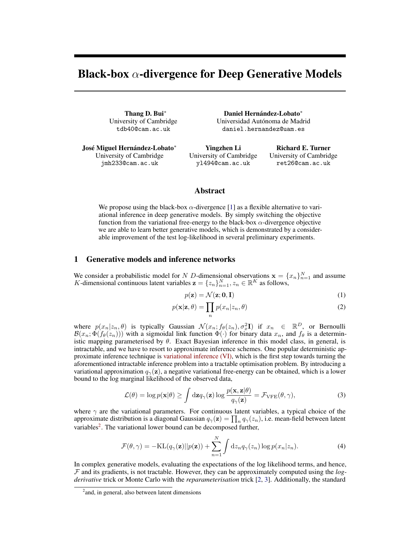# <span id="page-0-1"></span>Black-box  $\alpha$ -divergence for Deep Generative Models

Thang D. Bui<sup>∗</sup> University of Cambridge tdb40@cam.ac.uk

José Miguel Hernández-Lobato<sup>∗</sup> University of Cambridge jmh233@cam.ac.uk

Daniel Hernández-Lobato<sup>∗</sup> Universidad Autónoma de Madrid daniel.hernandez@uam.es

Yingzhen Li University of Cambridge yl494@cam.ac.uk

Richard E. Turner University of Cambridge ret26@cam.ac.uk

## Abstract

We propose using the black-box  $\alpha$ -divergence [\[1\]](#page-2-0) as a flexible alternative to variational inference in deep generative models. By simply switching the objective function from the variational free-energy to the black-box  $\alpha$ -divergence objective we are able to learn better generative models, which is demonstrated by a considerable improvement of the test log-likelihood in several preliminary experiments.

# 1 Generative models and inference networks

We consider a probabilistic model for N D-dimensional observations  $\mathbf{x} = \{x_n\}_{n=1}^N$  and assume K-dimensional continuous latent variables  $\mathbf{z} = \{z_n\}_{n=1}^N, z_n \in \mathbb{R}^K$  as follows,

<span id="page-0-2"></span>
$$
p(\mathbf{z}) = \mathcal{N}(\mathbf{z}; \mathbf{0}, \mathbf{I})
$$
\n(1)

$$
p(\mathbf{x}|\mathbf{z}, \theta) = \prod_{n} p(x_n|z_n, \theta)
$$
\n(2)

where  $p(x_n|z_n, \theta)$  is typically Gaussian  $\mathcal{N}(x_n; f_\theta(z_n), \sigma_x^2 \mathbf{I})$  if  $x_n \in \mathbb{R}^D$ , or Bernoulli  $\mathcal{B}(x_n;\Phi(f_\theta(z_n)))$  with a sigmoidal link function  $\Phi(\cdot)$  for binary data  $x_n$ , and  $f_\theta$  is a deterministic mapping parameterised by  $\theta$ . Exact Bayesian inference in this model class, in general, is intractable, and we have to resort to approximate inference schemes. One popular deterministic approximate inference technique is variational inference (VI), which is the first step towards turning the aforementioned intractable inference problem into a tractable optimisation problem. By introducing a variational approximation  $q_{\gamma}(z)$ , a negative variational free-energy can be obtained, which is a lower bound to the log marginal likelihood of the observed data,

$$
\mathcal{L}(\theta) = \log p(\mathbf{x}|\theta) \ge \int d\mathbf{z} q_{\gamma}(\mathbf{z}) \log \frac{p(\mathbf{x}, \mathbf{z}|\theta)}{q_{\gamma}(\mathbf{z})} = \mathcal{F}_{\text{VFE}}(\theta, \gamma), \tag{3}
$$

where  $\gamma$  are the variational parameters. For continuous latent variables, a typical choice of the approximate distribution is a diagonal Gaussian  $q_\gamma(\mathbf{z}) = \prod_n q_\gamma(z_n)$ , i.e. mean-field between latent variables<sup>[2](#page-0-0)</sup>. The variational lower bound can be decomposed further,

$$
\mathcal{F}(\theta, \gamma) = -\text{KL}(q_{\gamma}(\mathbf{z})||p(\mathbf{z})) + \sum_{n=1}^{N} \int dz_n q_{\gamma}(z_n) \log p(x_n|z_n).
$$
\n(4)

In complex generative models, evaluating the expectations of the log likelihood terms, and hence, F and its gradients, is not tractable. However, they can be approximately computed using the *logderivative* trick or Monte Carlo with the *reparameterisation* trick [\[2,](#page-2-1) [3\]](#page-2-2). Additionally, the standard

<span id="page-0-0"></span><sup>&</sup>lt;sup>2</sup> and, in general, also between latent dimensions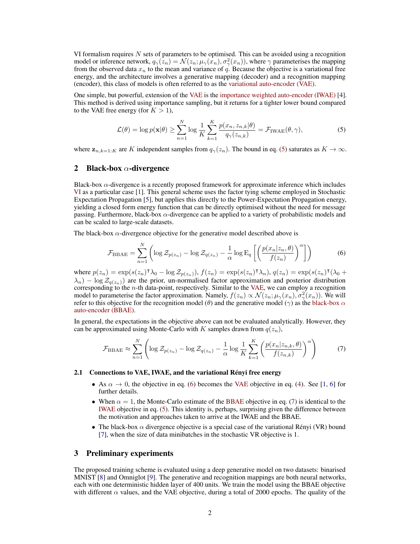VI formalism requires  $N$  sets of parameters to be optimised. This can be avoided using a recognition model or inference network,  $q_{\gamma}(z_n) = \mathcal{N}(z_n; \mu_{\gamma}(x_n), \sigma^2_{\gamma}(x_n))$ , where  $\gamma$  parameterises the mapping from the observed data  $x_n$  to the mean and variance of q. Because the objective is a variational free energy, and the architecture involves a generative mapping (decoder) and a recognition mapping (encoder), this class of models is often referred to as the [variational auto-encoder \(VAE\).](#page-0-1)

One simple, but powerful, extension of the [VAE](#page-0-1) is the [importance weighted auto-encoder \(IWAE\)](#page-0-1) [\[4\]](#page-2-3). This method is derived using importance sampling, but it returns for a tighter lower bound compared to the VAE free energy (for  $K > 1$ ),

<span id="page-1-0"></span>
$$
\mathcal{L}(\theta) = \log p(\mathbf{x}|\theta) \ge \sum_{n=1}^{N} \log \frac{1}{K} \sum_{k=1}^{K} \frac{p(x_n, z_{n,k}|\theta)}{q_{\gamma}(z_{n,k})} = \mathcal{F}_{\text{IWAE}}(\theta, \gamma),\tag{5}
$$

where  $z_{n,k=1:K}$  are K independent samples from  $q_{\gamma}(z_n)$ . The bound in eq. [\(5\)](#page-1-0) saturates as  $K \to \infty$ .

#### 2 Black-box  $\alpha$ -divergence

Black-box  $\alpha$ -divergence is a recently proposed framework for approximate inference which includes [VI](#page-0-1) as a particular case [\[1\]](#page-2-0). This general scheme uses the factor tying scheme employed in Stochastic Expectation Propagation [\[5\]](#page-2-4), but applies this directly to the Power-Expectation Propagation energy, yielding a closed form energy function that can be directly optimised without the need for message passing. Furthermore, black-box  $\alpha$ -divergence can be applied to a variety of probabilistic models and can be scaled to large-scale datasets.

The black-box  $\alpha$ -divergence objective for the generative model described above is

<span id="page-1-1"></span>
$$
\mathcal{F}_{\text{BBAE}} = \sum_{n=1}^{N} \left( \log \mathcal{Z}_{p(z_n)} - \log \mathcal{Z}_{q(z_n)} - \frac{1}{\alpha} \log \mathbb{E}_q \left[ \left( \frac{p(x_n | z_n, \theta)}{f(z_n)} \right)^{\alpha} \right] \right) \tag{6}
$$

where  $p(z_n) = \exp(s(z_n) \cdot \lambda_0 - \log \mathcal{Z}_{p(z_n)})$ ,  $f(z_n) = \exp(s(z_n) \cdot \lambda_n)$ ,  $q(z_n) = \exp(s(z_n) \cdot \lambda_0 + \lambda_0 \cdot \lambda_n)$  $\lambda_n$ ) – log  $\mathcal{Z}_{q(z_n)}$ ) are the prior, un-normalised factor approximation and posterior distribution corresponding to the  $n$ -th data-point, respectively. Similar to the [VAE,](#page-0-1) we can employ a recognition model to parameterise the factor approximation. Namely,  $f(z_n) \propto \mathcal{N}(z_n; \mu_\gamma(x_n), \sigma_\gamma^2(x_n))$ . We will refer to this objective for the recognition model ( $\theta$ ) and the generative model ( $\gamma$ ) as the [black-box](#page-0-1)  $\alpha$ [auto-encoder \(BBAE\).](#page-0-1)

In general, the expectations in the objective above can not be evaluated analytically. However, they can be approximated using Monte-Carlo with K samples drawn from  $q(z_n)$ ,

<span id="page-1-2"></span>
$$
\mathcal{F}_{\text{BBAE}} \approx \sum_{n=1}^{N} \left( \log \mathcal{Z}_{p(z_n)} - \log \mathcal{Z}_{q(z_n)} - \frac{1}{\alpha} \log \frac{1}{K} \sum_{k=1}^{K} \left( \frac{p(x_n | z_{n,k}, \theta)}{f(z_{n,k})} \right)^{\alpha} \right) \tag{7}
$$

#### 2.1 Connections to VAE, IWAE, and the variational Rényi free energy

- As  $\alpha \to 0$ , the objective in eq. [\(6\)](#page-1-1) becomes the [VAE](#page-0-1) objective in eq. [\(4\)](#page-0-2). See [\[1,](#page-2-0) [6\]](#page-2-5) for further details.
- When  $\alpha = 1$ , the Monte-Carlo estimate of the [BBAE](#page-0-1) objective in eq. [\(7\)](#page-1-2) is identical to the [IWAE](#page-0-1) objective in eq. [\(5\)](#page-1-0). This identity is, perhaps, surprising given the difference between the motivation and approaches taken to arrive at the IWAE and the BBAE.
- The black-box  $\alpha$  divergence objective is a special case of the variational Rényi (VR) bound [\[7\]](#page-3-0), when the size of data minibatches in the stochastic VR objective is 1.

#### 3 Preliminary experiments

The proposed training scheme is evaluated using a deep generative model on two datasets: binarised MNIST [\[8\]](#page-3-1) and Omniglot [\[9\]](#page-3-2). The generative and recognition mappings are both neural networks, each with one deterministic hidden layer of 400 units. We train the model using the BBAE objective with different  $\alpha$  values, and the VAE objective, during a total of 2000 epochs. The quality of the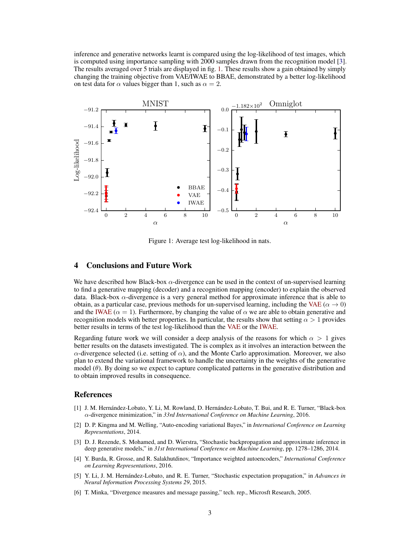inference and generative networks learnt is compared using the log-likelihood of test images, which is computed using importance sampling with 2000 samples drawn from the recognition model [\[3\]](#page-2-2). The results averaged over 5 trials are displayed in fig. [1.](#page-2-6) These results show a gain obtained by simply changing the training objective from VAE/IWAE to BBAE, demonstrated by a better log-likelihood on test data for  $\alpha$  values bigger than 1, such as  $\alpha = 2$ .



<span id="page-2-6"></span>Figure 1: Average test log-likelihood in nats.

# 4 Conclusions and Future Work

We have described how Black-box  $\alpha$ -divergence can be used in the context of un-supervised learning to find a generative mapping (decoder) and a recognition mapping (encoder) to explain the observed data. Black-box  $\alpha$ -divergence is a very general method for approximate inference that is able to obtain, as a particular case, previous methods for un-supervised learning, including the [VAE](#page-0-1) ( $\alpha \to 0$ ) and the [IWAE](#page-0-1) ( $\alpha = 1$ ). Furthermore, by changing the value of  $\alpha$  we are able to obtain generative and recognition models with better properties. In particular, the results show that setting  $\alpha > 1$  provides better results in terms of the test log-likelihood than the [VAE](#page-0-1) or the [IWAE.](#page-0-1)

Regarding future work we will consider a deep analysis of the reasons for which  $\alpha > 1$  gives better results on the datasets investigated. The is complex as it involves an interaction between the  $\alpha$ -divergence selected (i.e. setting of  $\alpha$ ), and the Monte Carlo approximation. Moreover, we also plan to extend the variational framework to handle the uncertainty in the weights of the generative model  $(\theta)$ . By doing so we expect to capture complicated patterns in the generative distribution and to obtain improved results in consequence.

## References

- <span id="page-2-0"></span>[1] J. M. Hernández-Lobato, Y. Li, M. Rowland, D. Hernández-Lobato, T. Bui, and R. E. Turner, "Black-box α-divergence minimization," in *33rd International Conference on Machine Learning*, 2016.
- <span id="page-2-1"></span>[2] D. P. Kingma and M. Welling, "Auto-encoding variational Bayes," in *International Conference on Learning Representations*, 2014.
- <span id="page-2-2"></span>[3] D. J. Rezende, S. Mohamed, and D. Wierstra, "Stochastic backpropagation and approximate inference in deep generative models," in *31st International Conference on Machine Learning*, pp. 1278–1286, 2014.
- <span id="page-2-3"></span>[4] Y. Burda, R. Grosse, and R. Salakhutdinov, "Importance weighted autoencoders," *International Conference on Learning Representations*, 2016.
- <span id="page-2-4"></span>[5] Y. Li, J. M. Hernández-Lobato, and R. E. Turner, "Stochastic expectation propagation," in *Advances in Neural Information Processing Systems 29*, 2015.
- <span id="page-2-5"></span>[6] T. Minka, "Divergence measures and message passing," tech. rep., Microsft Research, 2005.